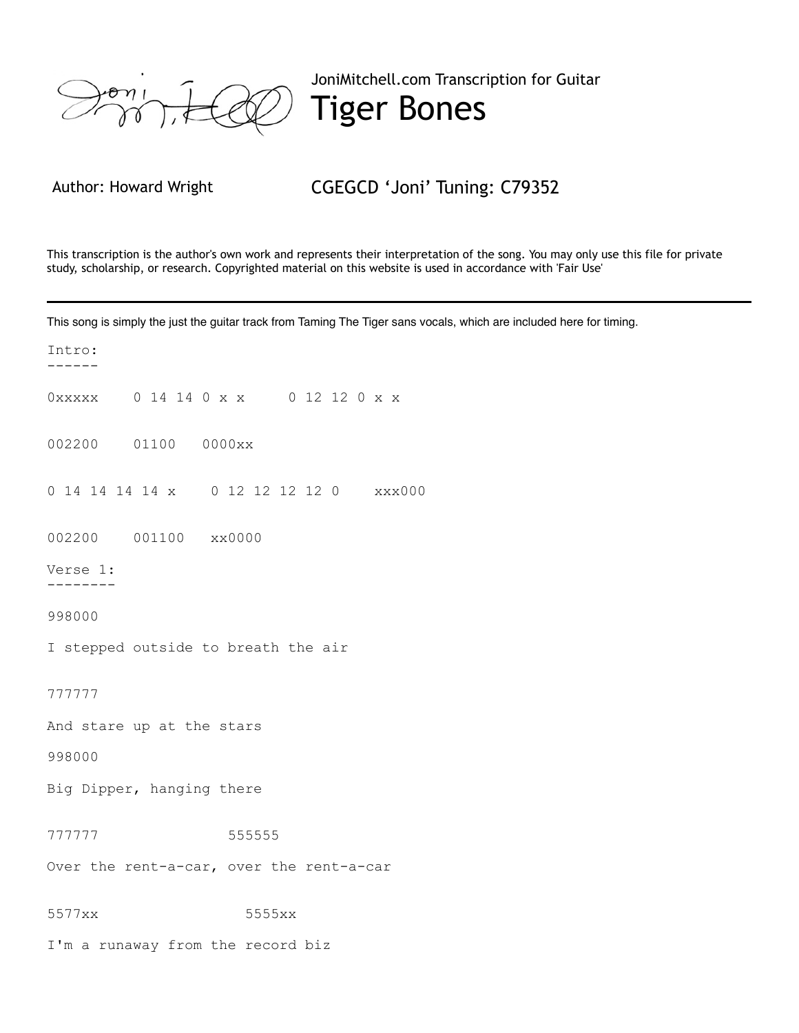JoniMitchell.com Transcription for Guitar Tiger Bones

## Author: Howard Wright CGEGCD 'Joni' Tuning: C79352

This transcription is the author's own work and represents their interpretation of the song. You may only use this file for private study, scholarship, or research. Copyrighted material on this website is used in accordance with 'Fair Use'

| This song is simply the just the guitar track from Taming The Tiger sans vocals, which are included here for timing. |
|----------------------------------------------------------------------------------------------------------------------|
| Intro:                                                                                                               |
| -----                                                                                                                |
|                                                                                                                      |
|                                                                                                                      |
| 002200 01100 0000xx                                                                                                  |
| 0 14 14 14 14 x 0 12 12 12 12 0 xxx000                                                                               |
| 002200<br>001100 xx0000                                                                                              |
| Verse 1:                                                                                                             |
|                                                                                                                      |
| 998000                                                                                                               |
| I stepped outside to breath the air                                                                                  |
|                                                                                                                      |
| 777777                                                                                                               |
| And stare up at the stars                                                                                            |
| 998000                                                                                                               |
| Big Dipper, hanging there                                                                                            |
|                                                                                                                      |
| 777777<br>555555                                                                                                     |
| Over the rent-a-car, over the rent-a-car                                                                             |
|                                                                                                                      |
| 5577xx<br>5555xx                                                                                                     |
| I'm a runaway from the record biz                                                                                    |
|                                                                                                                      |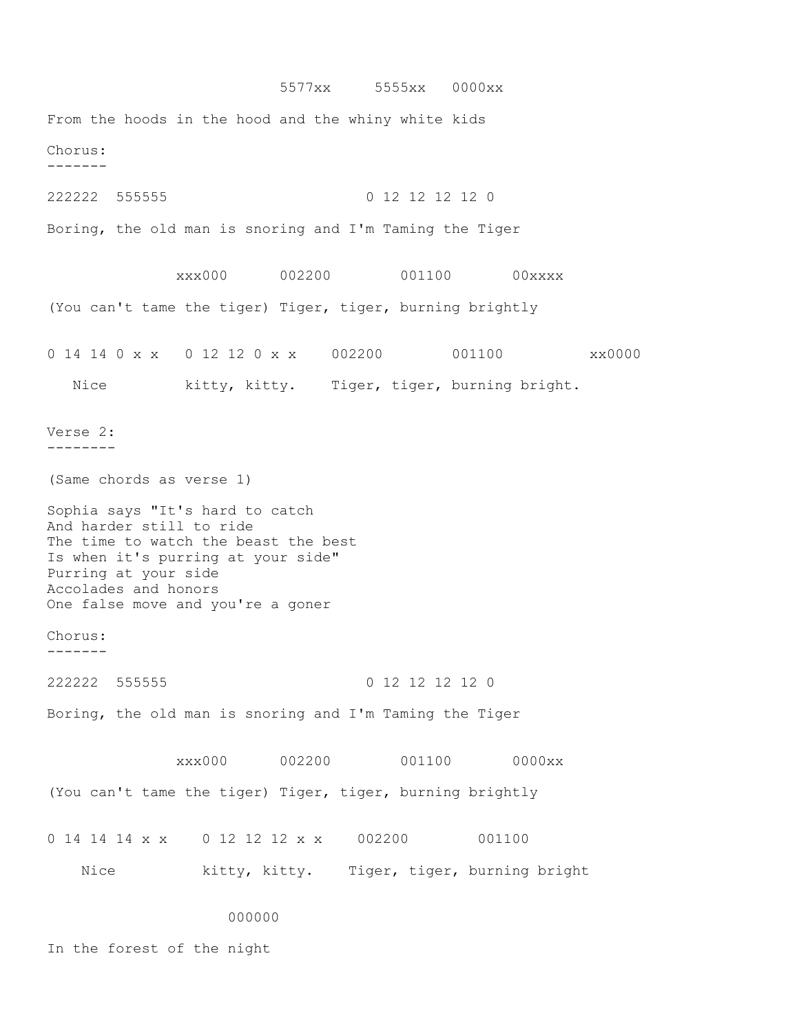## 5577xx 5555xx 0000xx

From the hoods in the hood and the whiny white kids Chorus: ------- 222222 555555 0 12 12 12 12 0 Boring, the old man is snoring and I'm Taming the Tiger xxx000 002200 001100 00xxxx (You can't tame the tiger) Tiger, tiger, burning brightly 0 14 14 0 x x 0 12 12 0 x x 002200 001100 xx0000 Nice kitty, kitty. Tiger, tiger, burning bright. Verse 2: -------- (Same chords as verse 1) Sophia says "It's hard to catch And harder still to ride The time to watch the beast the best Is when it's purring at your side" Purring at your side Accolades and honors One false move and you're a goner Chorus: ------- 222222 555555 0 12 12 12 12 0 Boring, the old man is snoring and I'm Taming the Tiger xxx000 002200 001100 0000xx (You can't tame the tiger) Tiger, tiger, burning brightly 0 14 14 14 x x 0 12 12 12 x x 002200 001100 Nice kitty, kitty. Tiger, tiger, burning bright

## 000000

In the forest of the night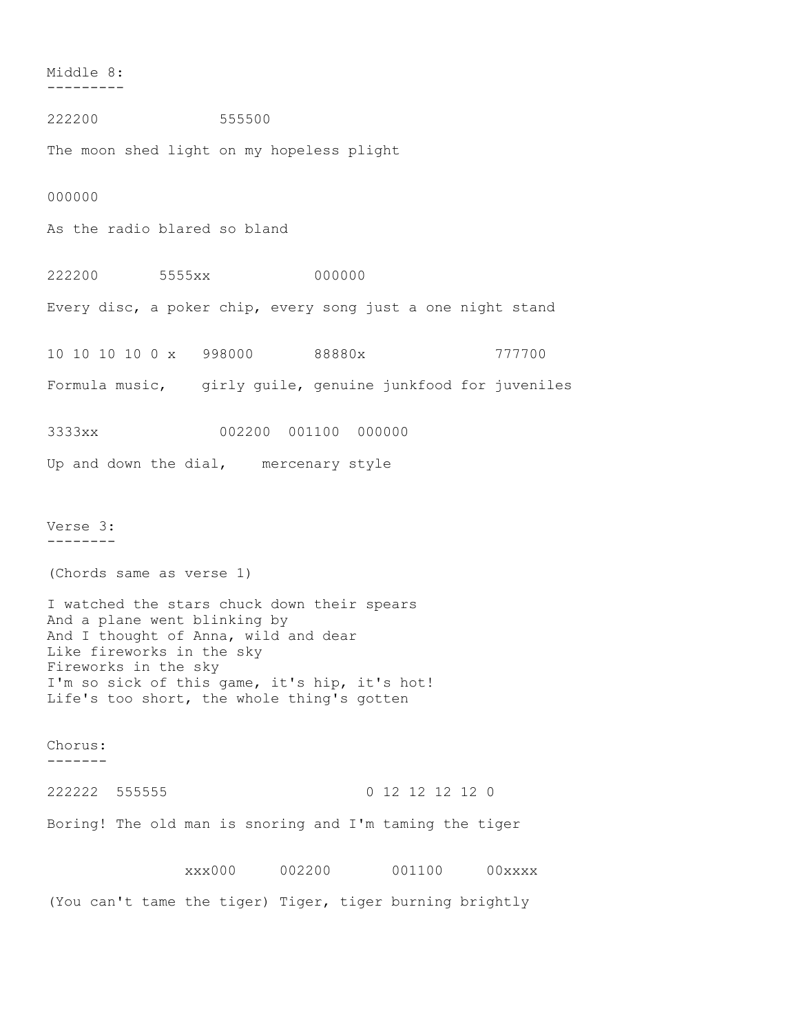Middle 8: --------- 222200 555500 The moon shed light on my hopeless plight 000000 As the radio blared so bland 222200 5555xx 000000 Every disc, a poker chip, every song just a one night stand 10 10 10 10 0 x 998000 88880x 777700 Formula music, girly guile, genuine junkfood for juveniles 3333xx 002200 001100 000000 Up and down the dial, mercenary style Verse 3: -------- (Chords same as verse 1) I watched the stars chuck down their spears And a plane went blinking by And I thought of Anna, wild and dear Like fireworks in the sky Fireworks in the sky I'm so sick of this game, it's hip, it's hot! Life's too short, the whole thing's gotten Chorus: ------- 222222 555555 0 12 12 12 12 0 Boring! The old man is snoring and I'm taming the tiger xxx000 002200 001100 00xxxx (You can't tame the tiger) Tiger, tiger burning brightly